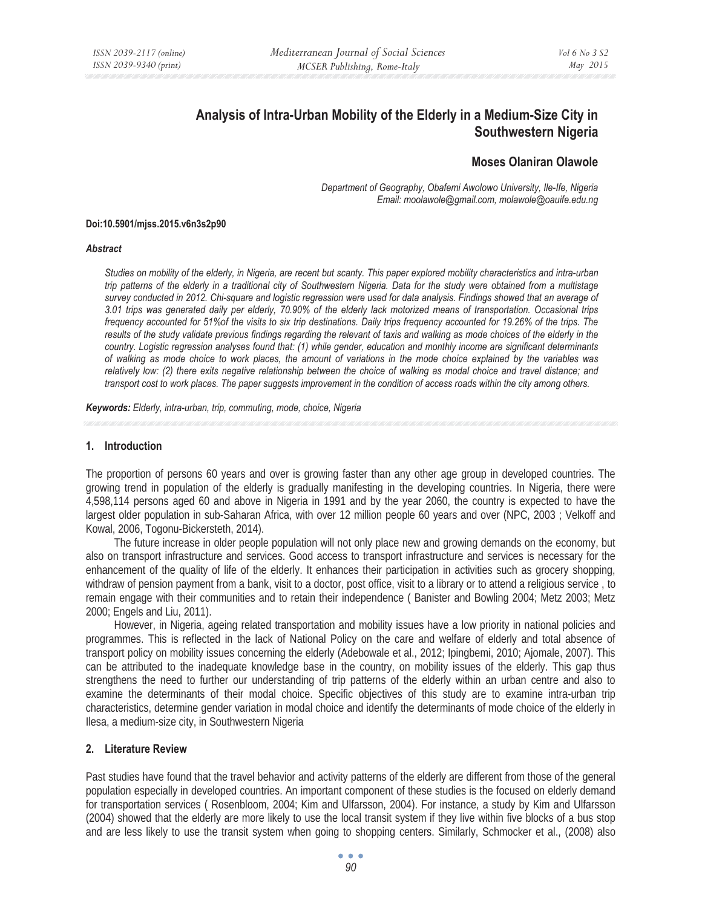# **Analysis of Intra-Urban Mobility of the Elderly in a Medium-Size City in Southwestern Nigeria**

## **Moses Olaniran Olawole**

*Department of Geography, Obafemi Awolowo University, Ile-Ife, Nigeria Email: moolawole@gmail.com, molawole@oauife.edu.ng* 

#### **Doi:10.5901/mjss.2015.v6n3s2p90**

#### *Abstract*

*Studies on mobility of the elderly, in Nigeria, are recent but scanty. This paper explored mobility characteristics and intra-urban trip patterns of the elderly in a traditional city of Southwestern Nigeria. Data for the study were obtained from a multistage survey conducted in 2012. Chi-square and logistic regression were used for data analysis. Findings showed that an average of 3.01 trips was generated daily per elderly, 70.90% of the elderly lack motorized means of transportation. Occasional trips frequency accounted for 51%of the visits to six trip destinations. Daily trips frequency accounted for 19.26% of the trips. The results of the study validate previous findings regarding the relevant of taxis and walking as mode choices of the elderly in the country. Logistic regression analyses found that: (1) while gender, education and monthly income are significant determinants of walking as mode choice to work places, the amount of variations in the mode choice explained by the variables was relatively low: (2) there exits negative relationship between the choice of walking as modal choice and travel distance; and transport cost to work places. The paper suggests improvement in the condition of access roads within the city among others.* 

*Keywords: Elderly, intra-urban, trip, commuting, mode, choice, Nigeria*

#### **1. Introduction**

The proportion of persons 60 years and over is growing faster than any other age group in developed countries. The growing trend in population of the elderly is gradually manifesting in the developing countries. In Nigeria, there were 4,598,114 persons aged 60 and above in Nigeria in 1991 and by the year 2060, the country is expected to have the largest older population in sub-Saharan Africa, with over 12 million people 60 years and over (NPC, 2003 ; Velkoff and Kowal, 2006, Togonu-Bickersteth, 2014).

The future increase in older people population will not only place new and growing demands on the economy, but also on transport infrastructure and services. Good access to transport infrastructure and services is necessary for the enhancement of the quality of life of the elderly. It enhances their participation in activities such as grocery shopping, withdraw of pension payment from a bank, visit to a doctor, post office, visit to a library or to attend a religious service , to remain engage with their communities and to retain their independence ( Banister and Bowling 2004; Metz 2003; Metz 2000; Engels and Liu, 2011).

However, in Nigeria, ageing related transportation and mobility issues have a low priority in national policies and programmes. This is reflected in the lack of National Policy on the care and welfare of elderly and total absence of transport policy on mobility issues concerning the elderly (Adebowale et al., 2012; Ipingbemi, 2010; Ajomale, 2007). This can be attributed to the inadequate knowledge base in the country, on mobility issues of the elderly. This gap thus strengthens the need to further our understanding of trip patterns of the elderly within an urban centre and also to examine the determinants of their modal choice. Specific objectives of this study are to examine intra-urban trip characteristics, determine gender variation in modal choice and identify the determinants of mode choice of the elderly in Ilesa, a medium-size city, in Southwestern Nigeria

#### **2. Literature Review**

Past studies have found that the travel behavior and activity patterns of the elderly are different from those of the general population especially in developed countries. An important component of these studies is the focused on elderly demand for transportation services ( Rosenbloom, 2004; Kim and Ulfarsson, 2004). For instance, a study by Kim and Ulfarsson (2004) showed that the elderly are more likely to use the local transit system if they live within five blocks of a bus stop and are less likely to use the transit system when going to shopping centers. Similarly, Schmocker et al., (2008) also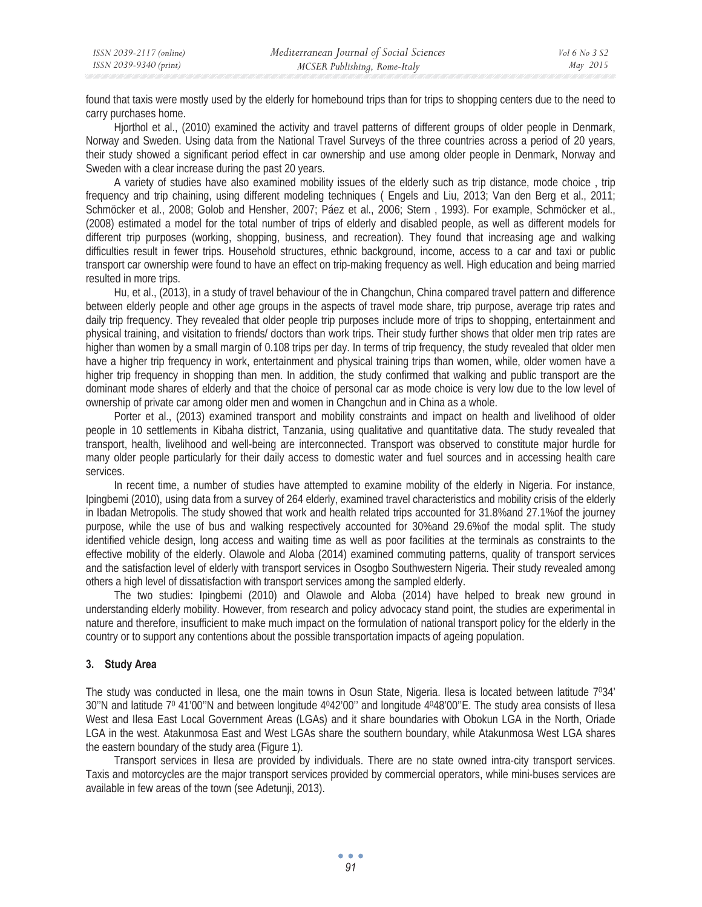| ISSN 2039-2117 (online) | Mediterranean Journal of Social Sciences | Vol 6 No 3 S2 |
|-------------------------|------------------------------------------|---------------|
| ISSN 2039-9340 (print)  | MCSER Publishing, Rome-Italy             | May 2015      |

found that taxis were mostly used by the elderly for homebound trips than for trips to shopping centers due to the need to carry purchases home.

Hjorthol et al., (2010) examined the activity and travel patterns of different groups of older people in Denmark, Norway and Sweden. Using data from the National Travel Surveys of the three countries across a period of 20 years, their study showed a significant period effect in car ownership and use among older people in Denmark, Norway and Sweden with a clear increase during the past 20 years.

A variety of studies have also examined mobility issues of the elderly such as trip distance, mode choice , trip frequency and trip chaining, using different modeling techniques ( Engels and Liu, 2013; Van den Berg et al., 2011; Schmöcker et al., 2008; Golob and Hensher, 2007; Páez et al., 2006; Stern , 1993). For example, Schmöcker et al., (2008) estimated a model for the total number of trips of elderly and disabled people, as well as different models for different trip purposes (working, shopping, business, and recreation). They found that increasing age and walking difficulties result in fewer trips. Household structures, ethnic background, income, access to a car and taxi or public transport car ownership were found to have an effect on trip-making frequency as well. High education and being married resulted in more trips.

Hu, et al., (2013), in a study of travel behaviour of the in Changchun, China compared travel pattern and difference between elderly people and other age groups in the aspects of travel mode share, trip purpose, average trip rates and daily trip frequency. They revealed that older people trip purposes include more of trips to shopping, entertainment and physical training, and visitation to friends/ doctors than work trips. Their study further shows that older men trip rates are higher than women by a small margin of 0.108 trips per day. In terms of trip frequency, the study revealed that older men have a higher trip frequency in work, entertainment and physical training trips than women, while, older women have a higher trip frequency in shopping than men. In addition, the study confirmed that walking and public transport are the dominant mode shares of elderly and that the choice of personal car as mode choice is very low due to the low level of ownership of private car among older men and women in Changchun and in China as a whole.

Porter et al., (2013) examined transport and mobility constraints and impact on health and livelihood of older people in 10 settlements in Kibaha district, Tanzania, using qualitative and quantitative data. The study revealed that transport, health, livelihood and well-being are interconnected. Transport was observed to constitute major hurdle for many older people particularly for their daily access to domestic water and fuel sources and in accessing health care services.

In recent time, a number of studies have attempted to examine mobility of the elderly in Nigeria. For instance, Ipingbemi (2010), using data from a survey of 264 elderly, examined travel characteristics and mobility crisis of the elderly in Ibadan Metropolis. The study showed that work and health related trips accounted for 31.8%and 27.1%of the journey purpose, while the use of bus and walking respectively accounted for 30%and 29.6%of the modal split. The study identified vehicle design, long access and waiting time as well as poor facilities at the terminals as constraints to the effective mobility of the elderly. Olawole and Aloba (2014) examined commuting patterns, quality of transport services and the satisfaction level of elderly with transport services in Osogbo Southwestern Nigeria. Their study revealed among others a high level of dissatisfaction with transport services among the sampled elderly.

The two studies: Ipingbemi (2010) and Olawole and Aloba (2014) have helped to break new ground in understanding elderly mobility. However, from research and policy advocacy stand point, the studies are experimental in nature and therefore, insufficient to make much impact on the formulation of national transport policy for the elderly in the country or to support any contentions about the possible transportation impacts of ageing population.

#### **3. Study Area**

The study was conducted in Ilesa, one the main towns in Osun State, Nigeria. Ilesa is located between latitude 7034'  $30''$ N and latitude  $7^0$  41'00"N and between longitude  $4^042'00''$  and longitude  $4^048'00''$ E. The study area consists of Ilesa West and Ilesa East Local Government Areas (LGAs) and it share boundaries with Obokun LGA in the North, Oriade LGA in the west. Atakunmosa East and West LGAs share the southern boundary, while Atakunmosa West LGA shares the eastern boundary of the study area (Figure 1).

Transport services in Ilesa are provided by individuals. There are no state owned intra-city transport services. Taxis and motorcycles are the major transport services provided by commercial operators, while mini-buses services are available in few areas of the town (see Adetunji, 2013).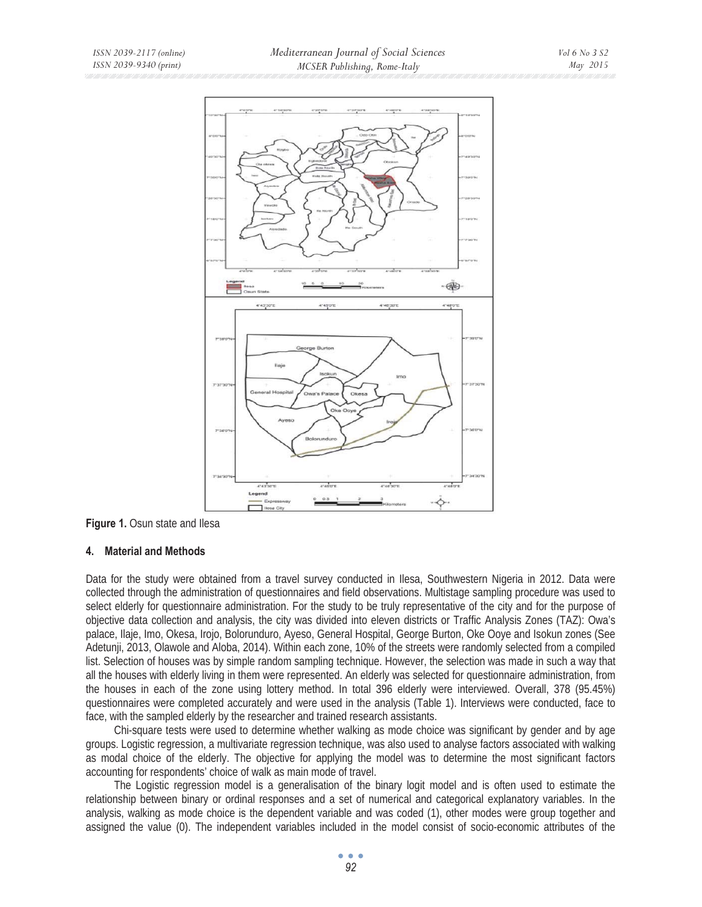

**Figure 1.** Osun state and Ilesa

### **4. Material and Methods**

Data for the study were obtained from a travel survey conducted in Ilesa, Southwestern Nigeria in 2012. Data were collected through the administration of questionnaires and field observations. Multistage sampling procedure was used to select elderly for questionnaire administration. For the study to be truly representative of the city and for the purpose of objective data collection and analysis, the city was divided into eleven districts or Traffic Analysis Zones (TAZ): Owa's palace, Ilaje, Imo, Okesa, Irojo, Bolorunduro, Ayeso, General Hospital, George Burton, Oke Ooye and Isokun zones (See Adetunji, 2013, Olawole and Aloba, 2014). Within each zone, 10% of the streets were randomly selected from a compiled list. Selection of houses was by simple random sampling technique. However, the selection was made in such a way that all the houses with elderly living in them were represented. An elderly was selected for questionnaire administration, from the houses in each of the zone using lottery method. In total 396 elderly were interviewed. Overall, 378 (95.45%) questionnaires were completed accurately and were used in the analysis (Table 1). Interviews were conducted, face to face, with the sampled elderly by the researcher and trained research assistants.

Chi-square tests were used to determine whether walking as mode choice was significant by gender and by age groups. Logistic regression, a multivariate regression technique, was also used to analyse factors associated with walking as modal choice of the elderly. The objective for applying the model was to determine the most significant factors accounting for respondents' choice of walk as main mode of travel.

The Logistic regression model is a generalisation of the binary logit model and is often used to estimate the relationship between binary or ordinal responses and a set of numerical and categorical explanatory variables. In the analysis, walking as mode choice is the dependent variable and was coded (1), other modes were group together and assigned the value (0). The independent variables included in the model consist of socio-economic attributes of the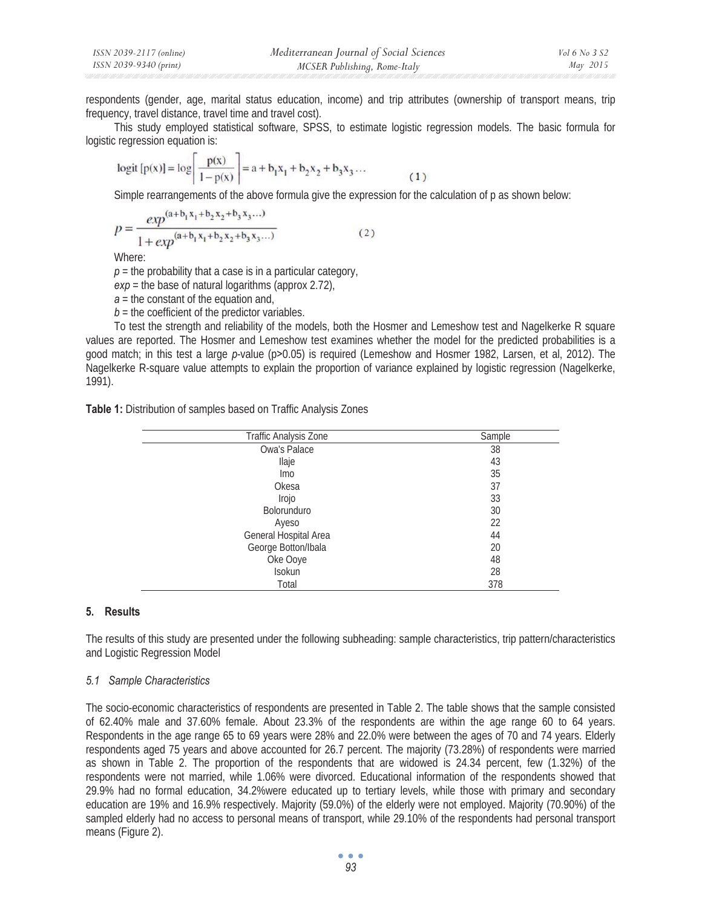| ISSN 2039-2117 (online) | Mediterranean Journal of Social Sciences | Vol 6 No 3 S2 |
|-------------------------|------------------------------------------|---------------|
| ISSN 2039-9340 (print)  | MCSER Publishing, Rome-Italy             | May 2015      |

respondents (gender, age, marital status education, income) and trip attributes (ownership of transport means, trip frequency, travel distance, travel time and travel cost).

This study employed statistical software, SPSS, to estimate logistic regression models. The basic formula for logistic regression equation is:

$$
logit [p(x)] = log \left[ \frac{p(x)}{1 - p(x)} \right] = a + b_1 x_1 + b_2 x_2 + b_3 x_3 \dots
$$
 (1)

Simple rearrangements of the above formula give the expression for the calculation of p as shown below:

$$
p = \frac{exp^{(a+b_1x_1+b_2x_2+b_3x_3...)} + exp^{(a+b_1x_1+b_2x_2+b_3x_3...)} \t{1 + exp^{(a+b_1x_1+b_2x_2+b_3x_3...)}}
$$
 (2)

Where:

 $p =$  the probability that a case is in a particular category,

*exp* = the base of natural logarithms (approx 2.72),

*a* = the constant of the equation and,

 $b =$  the coefficient of the predictor variables.

To test the strength and reliability of the models, both the Hosmer and Lemeshow test and Nagelkerke R square values are reported. The Hosmer and Lemeshow test examines whether the model for the predicted probabilities is a good match; in this test a large *p*-value (p*>*0.05) is required (Lemeshow and Hosmer 1982, Larsen, et al, 2012). The Nagelkerke R-square value attempts to explain the proportion of variance explained by logistic regression (Nagelkerke, 1991).

|  | Table 1: Distribution of samples based on Traffic Analysis Zones |  |  |  |  |
|--|------------------------------------------------------------------|--|--|--|--|
|--|------------------------------------------------------------------|--|--|--|--|

| Traffic Analysis Zone | Sample |
|-----------------------|--------|
| Owa's Palace          | 38     |
| llaje                 | 43     |
| lmo                   | 35     |
| Okesa                 | 37     |
| Irojo                 | 33     |
| <b>Bolorunduro</b>    | 30     |
| Ayeso                 | 22     |
| General Hospital Area | 44     |
| George Botton/Ibala   | 20     |
| Oke Ooye              | 48     |
| Isokun                | 28     |
| Total                 | 378    |

### **5. Results**

The results of this study are presented under the following subheading: sample characteristics, trip pattern/characteristics and Logistic Regression Model

#### *5.1 Sample Characteristics*

The socio-economic characteristics of respondents are presented in Table 2. The table shows that the sample consisted of 62.40% male and 37.60% female. About 23.3% of the respondents are within the age range 60 to 64 years. Respondents in the age range 65 to 69 years were 28% and 22.0% were between the ages of 70 and 74 years. Elderly respondents aged 75 years and above accounted for 26.7 percent. The majority (73.28%) of respondents were married as shown in Table 2. The proportion of the respondents that are widowed is 24.34 percent, few (1.32%) of the respondents were not married, while 1.06% were divorced. Educational information of the respondents showed that 29.9% had no formal education, 34.2%were educated up to tertiary levels, while those with primary and secondary education are 19% and 16.9% respectively. Majority (59.0%) of the elderly were not employed. Majority (70.90%) of the sampled elderly had no access to personal means of transport, while 29.10% of the respondents had personal transport means (Figure 2).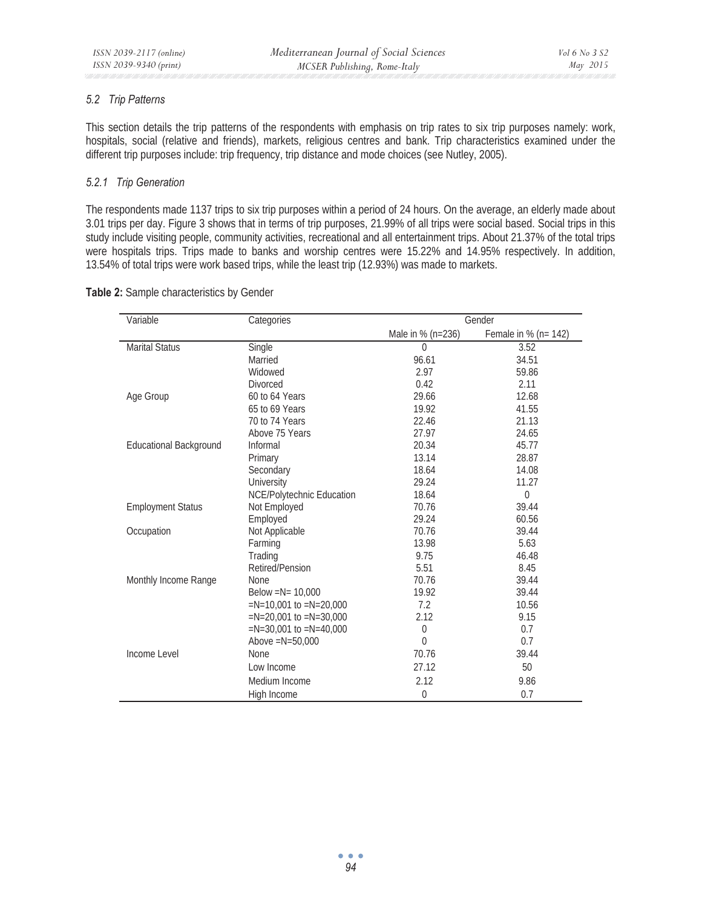## *5.2 Trip Patterns*

This section details the trip patterns of the respondents with emphasis on trip rates to six trip purposes namely: work, hospitals, social (relative and friends), markets, religious centres and bank. Trip characteristics examined under the different trip purposes include: trip frequency, trip distance and mode choices (see Nutley, 2005).

## *5.2.1 Trip Generation*

The respondents made 1137 trips to six trip purposes within a period of 24 hours. On the average, an elderly made about 3.01 trips per day. Figure 3 shows that in terms of trip purposes, 21.99% of all trips were social based. Social trips in this study include visiting people, community activities, recreational and all entertainment trips. About 21.37% of the total trips were hospitals trips. Trips made to banks and worship centres were 15.22% and 14.95% respectively. In addition, 13.54% of total trips were work based trips, while the least trip (12.93%) was made to markets.

### **Table 2:** Sample characteristics by Gender

| Variable                      | Categories                 |                   | Gender               |
|-------------------------------|----------------------------|-------------------|----------------------|
|                               |                            | Male in % (n=236) | Female in % (n= 142) |
| <b>Marital Status</b>         | Single                     | $\Omega$          | 3.52                 |
|                               | Married                    | 96.61             | 34.51                |
|                               | Widowed                    | 2.97              | 59.86                |
|                               | <b>Divorced</b>            | 0.42              | 2.11                 |
| Age Group                     | 60 to 64 Years             | 29.66             | 12.68                |
|                               | 65 to 69 Years             | 19.92             | 41.55                |
|                               | 70 to 74 Years             | 22.46             | 21.13                |
|                               | Above 75 Years             | 27.97             | 24.65                |
| <b>Educational Background</b> | Informal                   | 20.34             | 45.77                |
|                               | Primary                    | 13.14             | 28.87                |
|                               | Secondary                  | 18.64             | 14.08                |
|                               | University                 | 29.24             | 11.27                |
|                               | NCE/Polytechnic Education  | 18.64             | $\theta$             |
| <b>Employment Status</b>      | Not Employed               | 70.76             | 39.44                |
|                               | Employed                   | 29.24             | 60.56                |
| Occupation                    | Not Applicable             | 70.76             | 39.44                |
|                               | Farming                    | 13.98             | 5.63                 |
|                               | Trading                    | 9.75              | 46.48                |
|                               | Retired/Pension            | 5.51              | 8.45                 |
| Monthly Income Range          | None                       | 70.76             | 39.44                |
|                               | Below = $N = 10,000$       | 19.92             | 39.44                |
|                               | $=N=10.001$ to $=N=20.000$ | 7.2               | 10.56                |
|                               | $=N=20,001$ to $=N=30,000$ | 2.12              | 9.15                 |
|                               | $=N=30,001$ to $=N=40,000$ | $\theta$          | 0.7                  |
|                               | Above $=N=50,000$          | $\Omega$          | 0.7                  |
| Income Level                  | <b>None</b>                | 70.76             | 39.44                |
|                               | Low Income                 | 27.12             | 50                   |
|                               | Medium Income              | 2.12              | 9.86                 |
|                               | High Income                | $\theta$          | 0.7                  |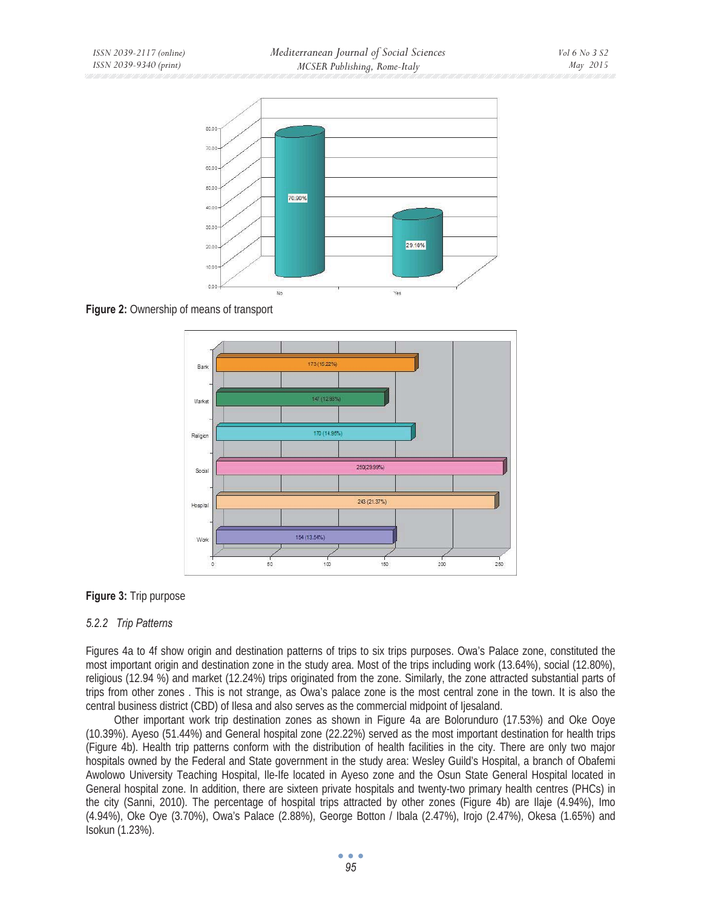

**Figure 2:** Ownership of means of transport



**Figure 3:** Trip purpose

## *5.2.2 Trip Patterns*

Figures 4a to 4f show origin and destination patterns of trips to six trips purposes. Owa's Palace zone, constituted the most important origin and destination zone in the study area. Most of the trips including work (13.64%), social (12.80%), religious (12.94 %) and market (12.24%) trips originated from the zone. Similarly, the zone attracted substantial parts of trips from other zones . This is not strange, as Owa's palace zone is the most central zone in the town. It is also the central business district (CBD) of Ilesa and also serves as the commercial midpoint of Ijesaland.

Other important work trip destination zones as shown in Figure 4a are Bolorunduro (17.53%) and Oke Ooye (10.39%). Ayeso (51.44%) and General hospital zone (22.22%) served as the most important destination for health trips (Figure 4b). Health trip patterns conform with the distribution of health facilities in the city. There are only two major hospitals owned by the Federal and State government in the study area: Wesley Guild's Hospital, a branch of Obafemi Awolowo University Teaching Hospital, Ile-Ife located in Ayeso zone and the Osun State General Hospital located in General hospital zone. In addition, there are sixteen private hospitals and twenty-two primary health centres (PHCs) in the city (Sanni, 2010). The percentage of hospital trips attracted by other zones (Figure 4b) are Ilaje (4.94%), Imo (4.94%), Oke Oye (3.70%), Owa's Palace (2.88%), George Botton / Ibala (2.47%), Irojo (2.47%), Okesa (1.65%) and Isokun (1.23%).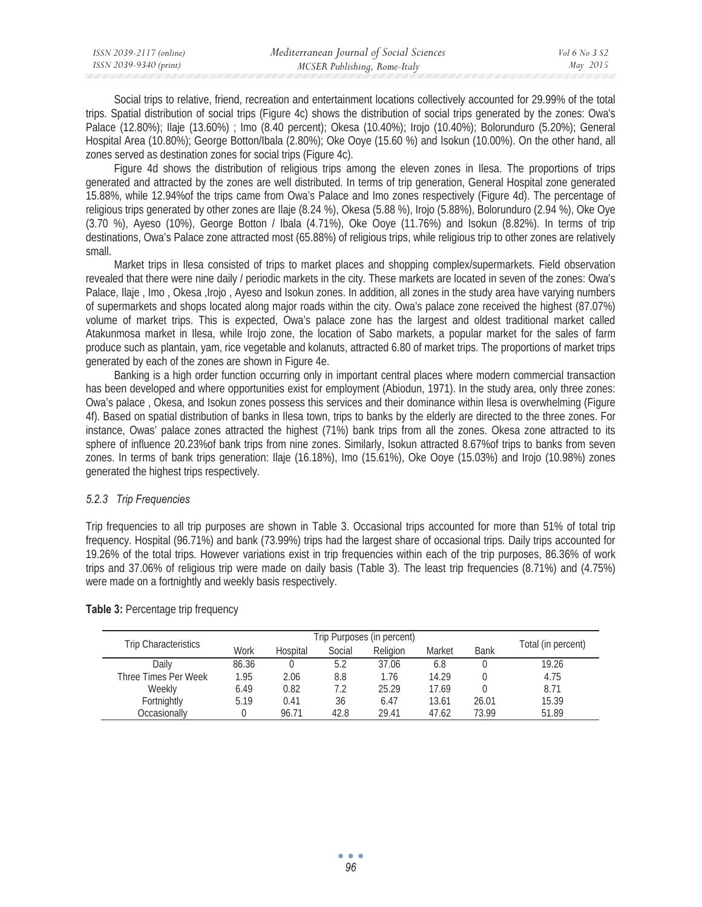| ISSN 2039-2117 (online) | Mediterranean Journal of Social Sciences | Vol 6 No 3 S2 |
|-------------------------|------------------------------------------|---------------|
| ISSN 2039-9340 (print)  | MCSER Publishing, Rome-Italy             | May 2015      |

Social trips to relative, friend, recreation and entertainment locations collectively accounted for 29.99% of the total trips. Spatial distribution of social trips (Figure 4c) shows the distribution of social trips generated by the zones: Owa's Palace (12.80%); Ilaje (13.60%) ; Imo (8.40 percent); Okesa (10.40%); Irojo (10.40%); Bolorunduro (5.20%); General Hospital Area (10.80%); George Botton/Ibala (2.80%); Oke Ooye (15.60 %) and Isokun (10.00%). On the other hand, all zones served as destination zones for social trips (Figure 4c).

Figure 4d shows the distribution of religious trips among the eleven zones in Ilesa. The proportions of trips generated and attracted by the zones are well distributed. In terms of trip generation, General Hospital zone generated 15.88%, while 12.94%of the trips came from Owa's Palace and Imo zones respectively (Figure 4d). The percentage of religious trips generated by other zones are Ilaje (8.24 %), Okesa (5.88 %), Irojo (5.88%), Bolorunduro (2.94 %), Oke Oye (3.70 %), Ayeso (10%), George Botton / Ibala (4.71%), Oke Ooye (11.76%) and Isokun (8.82%). In terms of trip destinations, Owa's Palace zone attracted most (65.88%) of religious trips, while religious trip to other zones are relatively small.

Market trips in Ilesa consisted of trips to market places and shopping complex/supermarkets. Field observation revealed that there were nine daily / periodic markets in the city. These markets are located in seven of the zones: Owa's Palace, Ilaje, Imo, Okesa, Irojo, Ayeso and Isokun zones. In addition, all zones in the study area have varying numbers of supermarkets and shops located along major roads within the city. Owa's palace zone received the highest (87.07%) volume of market trips. This is expected, Owa's palace zone has the largest and oldest traditional market called Atakunmosa market in Ilesa, while Irojo zone, the location of Sabo markets, a popular market for the sales of farm produce such as plantain, yam, rice vegetable and kolanuts, attracted 6.80 of market trips. The proportions of market trips generated by each of the zones are shown in Figure 4e.

Banking is a high order function occurring only in important central places where modern commercial transaction has been developed and where opportunities exist for employment (Abiodun, 1971). In the study area, only three zones: Owa's palace , Okesa, and Isokun zones possess this services and their dominance within Ilesa is overwhelming (Figure 4f). Based on spatial distribution of banks in Ilesa town, trips to banks by the elderly are directed to the three zones. For instance, Owas' palace zones attracted the highest (71%) bank trips from all the zones. Okesa zone attracted to its sphere of influence 20.23%of bank trips from nine zones. Similarly, Isokun attracted 8.67%of trips to banks from seven zones. In terms of bank trips generation: Ilaje (16.18%), Imo (15.61%), Oke Ooye (15.03%) and Irojo (10.98%) zones generated the highest trips respectively.

### *5.2.3 Trip Frequencies*

Trip frequencies to all trip purposes are shown in Table 3. Occasional trips accounted for more than 51% of total trip frequency. Hospital (96.71%) and bank (73.99%) trips had the largest share of occasional trips. Daily trips accounted for 19.26% of the total trips. However variations exist in trip frequencies within each of the trip purposes, 86.36% of work trips and 37.06% of religious trip were made on daily basis (Table 3). The least trip frequencies (8.71%) and (4.75%) were made on a fortnightly and weekly basis respectively.

|                             |       |          |        | Trip Purposes (in percent) |        |             |                    |
|-----------------------------|-------|----------|--------|----------------------------|--------|-------------|--------------------|
| <b>Trip Characteristics</b> | Work  | Hospital | Social | Religion                   | Market | <b>Bank</b> | Total (in percent) |
| Daily                       | 86.36 |          | 5.2    | 37.06                      | 6.8    |             | 19.26              |
| Three Times Per Week        | 1.95  | 2.06     | 8.8    | 1.76                       | 14.29  |             | 4.75               |
| Weekly                      | 6.49  | 0.82     | 7.2    | 25.29                      | 17.69  |             | 8.71               |
| Fortnightly                 | 5.19  | 0.41     | 36     | 6.47                       | 13.61  | 26.01       | 15.39              |
| Occasionallv                |       | 96.71    | 42.8   | 29.41                      | 47.62  | 73.99       | 51.89              |

**Table 3: Percentage trip frequency**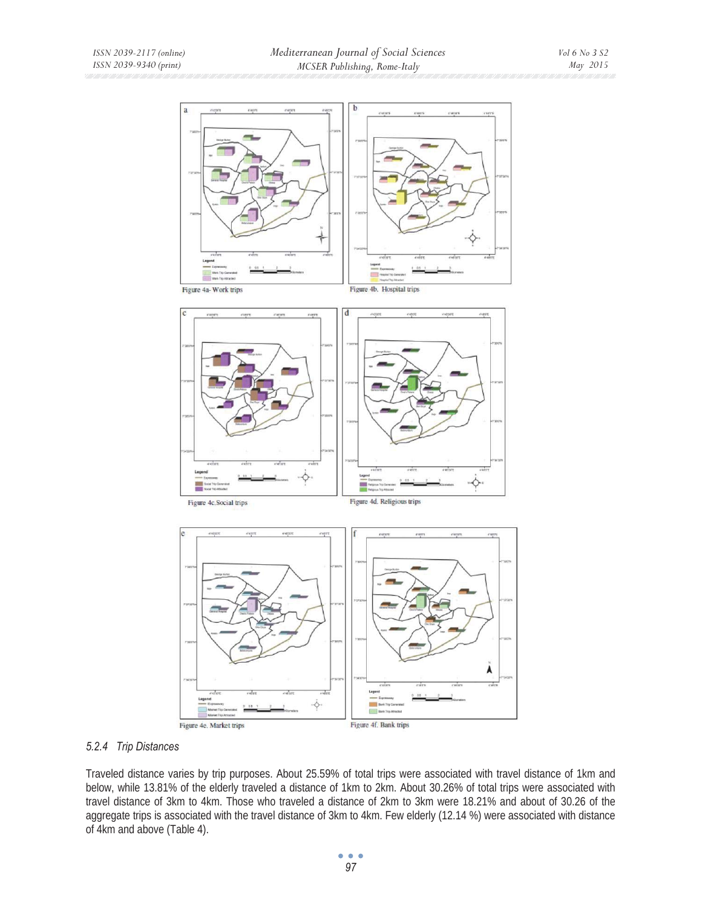

## *5.2.4 Trip Distances*

Traveled distance varies by trip purposes. About 25.59% of total trips were associated with travel distance of 1km and below, while 13.81% of the elderly traveled a distance of 1km to 2km. About 30.26% of total trips were associated with travel distance of 3km to 4km. Those who traveled a distance of 2km to 3km were 18.21% and about of 30.26 of the aggregate trips is associated with the travel distance of 3km to 4km. Few elderly (12.14 %) were associated with distance of 4km and above (Table 4).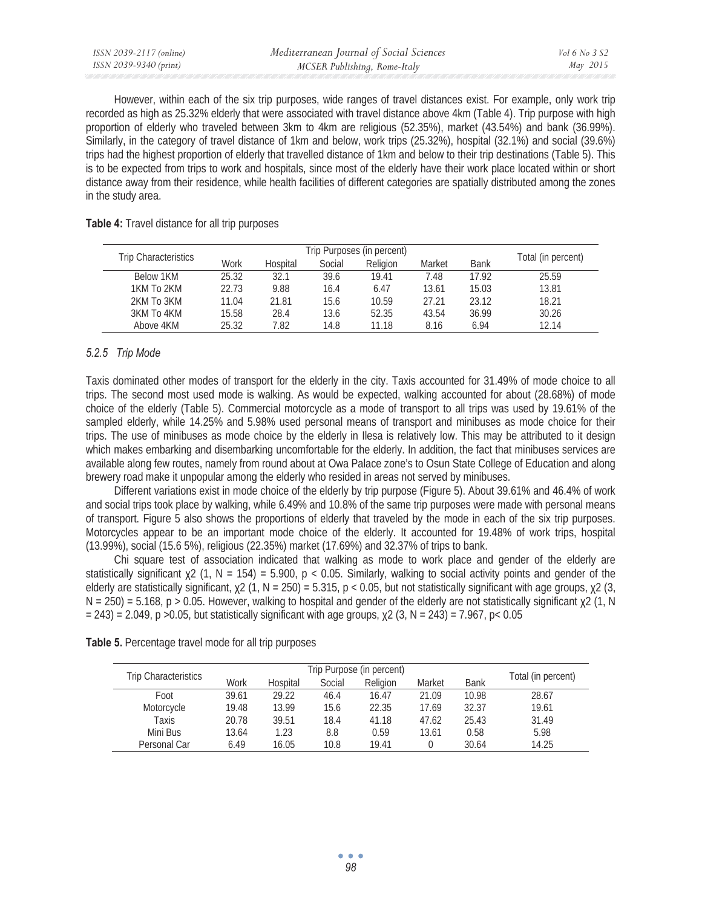However, within each of the six trip purposes, wide ranges of travel distances exist. For example, only work trip recorded as high as 25.32% elderly that were associated with travel distance above 4km (Table 4). Trip purpose with high proportion of elderly who traveled between 3km to 4km are religious (52.35%), market (43.54%) and bank (36.99%). Similarly, in the category of travel distance of 1km and below, work trips (25.32%), hospital (32.1%) and social (39.6%) trips had the highest proportion of elderly that travelled distance of 1km and below to their trip destinations (Table 5). This is to be expected from trips to work and hospitals, since most of the elderly have their work place located within or short distance away from their residence, while health facilities of different categories are spatially distributed among the zones in the study area.

#### **Table 4:** Travel distance for all trip purposes

| Trip Characteristics |       | Trip Purposes (in percent) |        |          |        |             |                    |
|----------------------|-------|----------------------------|--------|----------|--------|-------------|--------------------|
|                      | Work  | Hospital                   | Social | Religion | Market | <b>Bank</b> | Total (in percent) |
| Below 1KM            | 25.32 | 32.1                       | 39.6   | 19.41    | 7.48   | 17.92       | 25.59              |
| 1KM To 2KM           | 22.73 | 9.88                       | 16.4   | 6.47     | 13.61  | 15.03       | 13.81              |
| 2KM To 3KM           | 11.04 | 21.81                      | 15.6   | 10.59    | 27.21  | 23.12       | 18.21              |
| 3KM To 4KM           | 15.58 | 28.4                       | 13.6   | 52.35    | 43.54  | 36.99       | 30.26              |
| Above 4KM            | 25.32 | .82                        | 14.8   | 11.18    | 8.16   | 6.94        | 12.14              |

## *5.2.5 Trip Mode*

Taxis dominated other modes of transport for the elderly in the city. Taxis accounted for 31.49% of mode choice to all trips. The second most used mode is walking. As would be expected, walking accounted for about (28.68%) of mode choice of the elderly (Table 5). Commercial motorcycle as a mode of transport to all trips was used by 19.61% of the sampled elderly, while 14.25% and 5.98% used personal means of transport and minibuses as mode choice for their trips. The use of minibuses as mode choice by the elderly in Ilesa is relatively low. This may be attributed to it design which makes embarking and disembarking uncomfortable for the elderly. In addition, the fact that minibuses services are available along few routes, namely from round about at Owa Palace zone's to Osun State College of Education and along brewery road make it unpopular among the elderly who resided in areas not served by minibuses.

Different variations exist in mode choice of the elderly by trip purpose (Figure 5). About 39.61% and 46.4% of work and social trips took place by walking, while 6.49% and 10.8% of the same trip purposes were made with personal means of transport. Figure 5 also shows the proportions of elderly that traveled by the mode in each of the six trip purposes. Motorcycles appear to be an important mode choice of the elderly. It accounted for 19.48% of work trips, hospital (13.99%), social (15.6 5%), religious (22.35%) market (17.69%) and 32.37% of trips to bank.

Chi square test of association indicated that walking as mode to work place and gender of the elderly are statistically significant  $x^2$  (1, N = 154) = 5.900, p < 0.05. Similarly, walking to social activity points and gender of the elderly are statistically significant,  $\chi$ 2 (1, N = 250) = 5.315, p < 0.05, but not statistically significant with age groups,  $\chi$ 2 (3,  $N = 250$ ) = 5.168, p > 0.05. However, walking to hospital and gender of the elderly are not statistically significant  $\chi$ 2 (1, N  $= 243$ ) = 2.049, p > 0.05, but statistically significant with age groups,  $\chi$ 2 (3, N = 243) = 7.967, p < 0.05

|  | Table 5. Percentage travel mode for all trip purposes |
|--|-------------------------------------------------------|
|--|-------------------------------------------------------|

| <b>Trip Characteristics</b> |       |          |        | Trip Purpose (in percent) |        |             |                    |
|-----------------------------|-------|----------|--------|---------------------------|--------|-------------|--------------------|
|                             | Work  | Hospital | Social | Religion                  | Market | <b>Bank</b> | Total (in percent) |
| Foot                        | 39.61 | 29.22    | 46.4   | 16.47                     | 21.09  | 10.98       | 28.67              |
| Motorcycle                  | 19.48 | 13.99    | 15.6   | 22.35                     | 17.69  | 32.37       | 19.61              |
| Taxis                       | 20.78 | 39.51    | 18.4   | 41.18                     | 47.62  | 25.43       | 31.49              |
| Mini Bus                    | 13.64 | 1.23     | 8.8    | 0.59                      | 13.61  | 0.58        | 5.98               |
| Personal Car                | 6.49  | 16.05    | 10.8   | 19.41                     |        | 30.64       | 14.25              |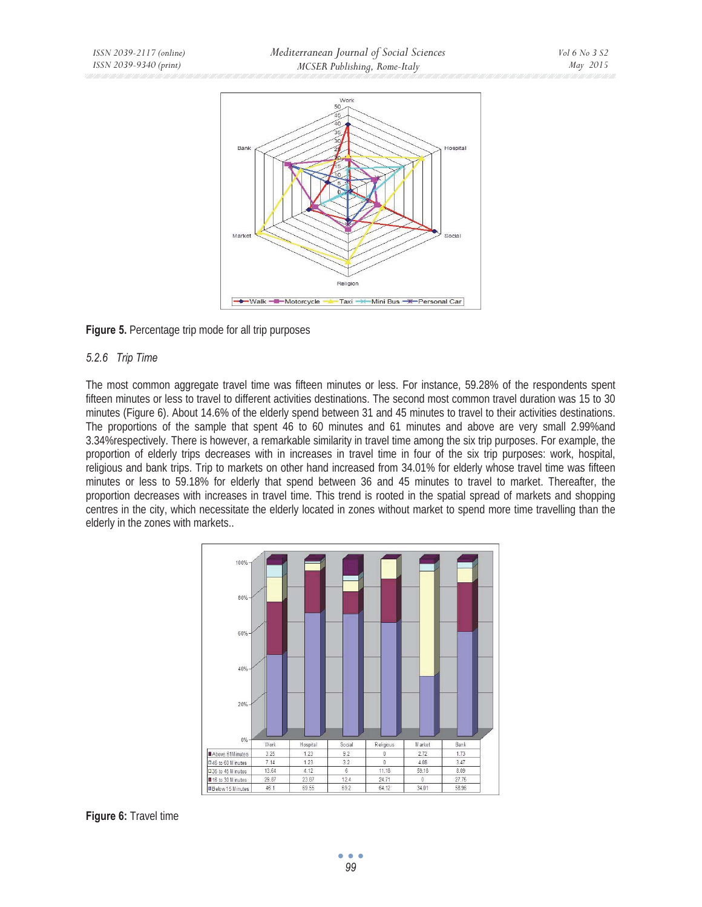

## **Figure 5.** Percentage trip mode for all trip purposes

### *5.2.6 Trip Time*

The most common aggregate travel time was fifteen minutes or less. For instance, 59.28% of the respondents spent fifteen minutes or less to travel to different activities destinations. The second most common travel duration was 15 to 30 minutes (Figure 6). About 14.6% of the elderly spend between 31 and 45 minutes to travel to their activities destinations. The proportions of the sample that spent 46 to 60 minutes and 61 minutes and above are very small 2.99%and 3.34%respectively. There is however, a remarkable similarity in travel time among the six trip purposes. For example, the proportion of elderly trips decreases with in increases in travel time in four of the six trip purposes: work, hospital, religious and bank trips. Trip to markets on other hand increased from 34.01% for elderly whose travel time was fifteen minutes or less to 59.18% for elderly that spend between 36 and 45 minutes to travel to market. Thereafter, the proportion decreases with increases in travel time. This trend is rooted in the spatial spread of markets and shopping centres in the city, which necessitate the elderly located in zones without market to spend more time travelling than the elderly in the zones with markets..



## **Figure 6:** Travel time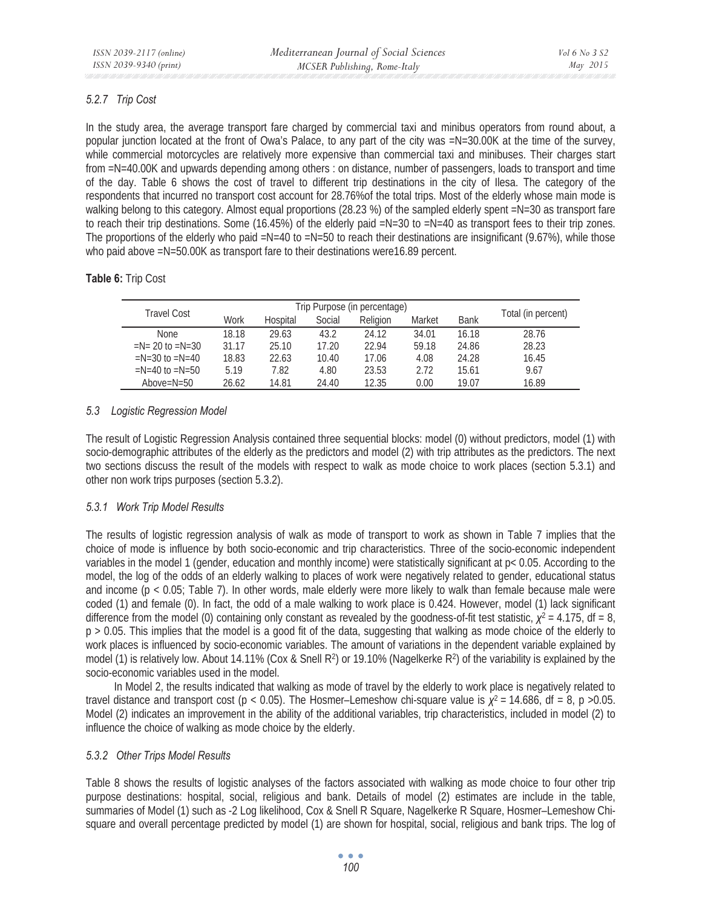## *5.2.7 Trip Cost*

In the study area, the average transport fare charged by commercial taxi and minibus operators from round about, a popular junction located at the front of Owa's Palace, to any part of the city was =N=30.00K at the time of the survey, while commercial motorcycles are relatively more expensive than commercial taxi and minibuses. Their charges start from =N=40.00K and upwards depending among others : on distance, number of passengers, loads to transport and time of the day. Table 6 shows the cost of travel to different trip destinations in the city of Ilesa. The category of the respondents that incurred no transport cost account for 28.76%of the total trips. Most of the elderly whose main mode is walking belong to this category. Almost equal proportions (28.23 %) of the sampled elderly spent =N=30 as transport fare to reach their trip destinations. Some (16.45%) of the elderly paid =N=30 to =N=40 as transport fees to their trip zones. The proportions of the elderly who paid  $=N=40$  to  $=N=50$  to reach their destinations are insignificant (9.67%), while those who paid above =N=50.00K as transport fare to their destinations were16.89 percent.

## **Table 6:** Trip Cost

| Travel Cost            |       |          |        | Trip Purpose (in percentage) |        |             |                    |
|------------------------|-------|----------|--------|------------------------------|--------|-------------|--------------------|
|                        | Work  | Hospital | Social | Religion                     | Market | <b>Bank</b> | Total (in percent) |
| <b>None</b>            | 18.18 | 29.63    | 43.2   | 24.12                        | 34.01  | 16.18       | 28.76              |
| $=N = 20$ to $=N = 30$ | 31.17 | 25.10    | 17.20  | 22.94                        | 59.18  | 24.86       | 28.23              |
| $=N=30$ to $=N=40$     | 18.83 | 22.63    | 10.40  | 17.06                        | 4.08   | 24.28       | 16.45              |
| $=N=40$ to $=N=50$     | 5.19  | 7.82     | 4.80   | 23.53                        | 2.72   | 15.61       | 9.67               |
| Above= $N=50$          | 26.62 | 14.81    | 24.40  | 12.35                        | 0.00   | 19.07       | 16.89              |

## *5.3 Logistic Regression Model*

The result of Logistic Regression Analysis contained three sequential blocks: model (0) without predictors, model (1) with socio-demographic attributes of the elderly as the predictors and model (2) with trip attributes as the predictors. The next two sections discuss the result of the models with respect to walk as mode choice to work places (section 5.3.1) and other non work trips purposes (section 5.3.2).

## *5.3.1 Work Trip Model Results*

The results of logistic regression analysis of walk as mode of transport to work as shown in Table 7 implies that the choice of mode is influence by both socio-economic and trip characteristics. Three of the socio-economic independent variables in the model 1 (gender, education and monthly income) were statistically significant at p< 0.05. According to the model, the log of the odds of an elderly walking to places of work were negatively related to gender, educational status and income (p < 0.05; Table 7). In other words, male elderly were more likely to walk than female because male were coded (1) and female (0). In fact, the odd of a male walking to work place is 0.424. However, model (1) lack significant difference from the model (0) containing only constant as revealed by the goodness-of-fit test statistic,  $\chi^2$  = 4.175, df = 8, p > 0.05. This implies that the model is a good fit of the data, suggesting that walking as mode choice of the elderly to work places is influenced by socio-economic variables. The amount of variations in the dependent variable explained by model (1) is relatively low. About 14.11% (Cox & Snell R<sup>2</sup>) or 19.10% (Nagelkerke R<sup>2</sup>) of the variability is explained by the socio-economic variables used in the model.

In Model 2, the results indicated that walking as mode of travel by the elderly to work place is negatively related to travel distance and transport cost ( $p < 0.05$ ). The Hosmer–Lemeshow chi-square value is  $\chi^2 = 14.686$ , df = 8, p >0.05. Model (2) indicates an improvement in the ability of the additional variables, trip characteristics, included in model (2) to influence the choice of walking as mode choice by the elderly.

## *5.3.2 Other Trips Model Results*

Table 8 shows the results of logistic analyses of the factors associated with walking as mode choice to four other trip purpose destinations: hospital, social, religious and bank. Details of model (2) estimates are include in the table, summaries of Model (1) such as -2 Log likelihood, Cox & Snell R Square, Nagelkerke R Square, Hosmer–Lemeshow Chisquare and overall percentage predicted by model (1) are shown for hospital, social, religious and bank trips. The log of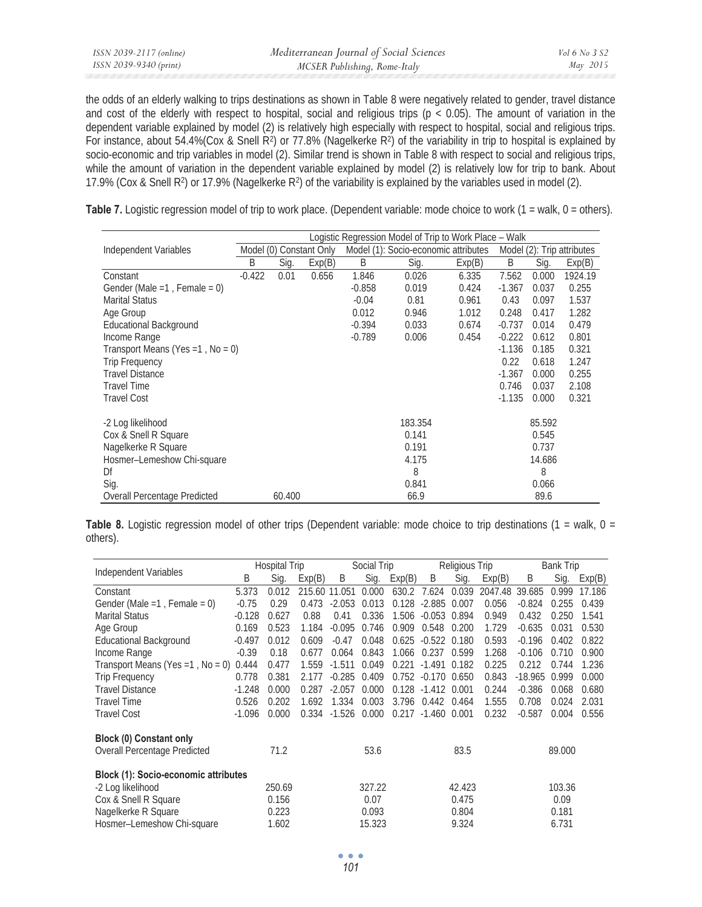| ISSN 2039-2117 (online) | Mediterranean Journal of Social Sciences | Vol 6 No. 3 S2 |
|-------------------------|------------------------------------------|----------------|
| ISSN 2039-9340 (print)  | MCSER Publishing, Rome-Italy             | May 2015       |

the odds of an elderly walking to trips destinations as shown in Table 8 were negatively related to gender, travel distance and cost of the elderly with respect to hospital, social and religious trips ( $p < 0.05$ ). The amount of variation in the dependent variable explained by model (2) is relatively high especially with respect to hospital, social and religious trips. For instance, about 54.4%(Cox & Snell R<sup>2</sup>) or 77.8% (Nagelkerke R<sup>2</sup>) of the variability in trip to hospital is explained by socio-economic and trip variables in model (2). Similar trend is shown in Table 8 with respect to social and religious trips, while the amount of variation in the dependent variable explained by model (2) is relatively low for trip to bank. About 17.9% (Cox & Snell R2) or 17.9% (Nagelkerke R2) of the variability is explained by the variables used in model (2).

**Table 7.** Logistic regression model of trip to work place. (Dependent variable: mode choice to work (1 = walk, 0 = others).

|                                   | Logistic Regression Model of Trip to Work Place – Walk |        |        |                                      |         |        |                            |        |         |
|-----------------------------------|--------------------------------------------------------|--------|--------|--------------------------------------|---------|--------|----------------------------|--------|---------|
| Independent Variables             | Model (0) Constant Only                                |        |        | Model (1): Socio-economic attributes |         |        | Model (2): Trip attributes |        |         |
|                                   | B                                                      | Sig.   | Exp(B) | B                                    | Sig.    | Exp(B) | B                          | Sig.   | Exp(B)  |
| Constant                          | $-0.422$                                               | 0.01   | 0.656  | 1.846                                | 0.026   | 6.335  | 7.562                      | 0.000  | 1924.19 |
| Gender (Male = 1, Female = 0)     |                                                        |        |        | $-0.858$                             | 0.019   | 0.424  | $-1.367$                   | 0.037  | 0.255   |
| <b>Marital Status</b>             |                                                        |        |        | $-0.04$                              | 0.81    | 0.961  | 0.43                       | 0.097  | 1.537   |
| Age Group                         |                                                        |        |        | 0.012                                | 0.946   | 1.012  | 0.248                      | 0.417  | 1.282   |
| <b>Educational Background</b>     |                                                        |        |        | $-0.394$                             | 0.033   | 0.674  | $-0.737$                   | 0.014  | 0.479   |
| Income Range                      |                                                        |        |        | $-0.789$                             | 0.006   | 0.454  | $-0.222$                   | 0.612  | 0.801   |
| Transport Means (Yes = 1, No = 0) |                                                        |        |        |                                      |         |        | $-1.136$                   | 0.185  | 0.321   |
| <b>Trip Frequency</b>             |                                                        |        |        |                                      |         |        | 0.22                       | 0.618  | 1.247   |
| <b>Travel Distance</b>            |                                                        |        |        |                                      |         |        | $-1.367$                   | 0.000  | 0.255   |
| <b>Travel Time</b>                |                                                        |        |        |                                      |         |        | 0.746                      | 0.037  | 2.108   |
| <b>Travel Cost</b>                |                                                        |        |        |                                      |         |        | $-1.135$                   | 0.000  | 0.321   |
| -2 Log likelihood                 |                                                        |        |        |                                      | 183.354 |        |                            | 85.592 |         |
| Cox & Snell R Square              |                                                        |        |        |                                      | 0.141   |        |                            | 0.545  |         |
| Nagelkerke R Square               |                                                        |        |        |                                      | 0.191   |        |                            | 0.737  |         |
| Hosmer-Lemeshow Chi-square        |                                                        |        |        |                                      | 4.175   |        |                            | 14.686 |         |
| Df                                |                                                        |        |        |                                      | 8       |        |                            | 8      |         |
| Sig.                              |                                                        |        |        |                                      | 0.841   |        |                            | 0.066  |         |
| Overall Percentage Predicted      |                                                        | 60.400 |        |                                      | 66.9    |        |                            | 89.6   |         |

**Table 8.** Logistic regression model of other trips (Dependent variable: mode choice to trip destinations (1 = walk, 0 = others).

| Independent Variables                       | <b>Hospital Trip</b> |        |        | Social Trip |        |        | Religious Trip       |        |         | <b>Bank Trip</b> |        |        |
|---------------------------------------------|----------------------|--------|--------|-------------|--------|--------|----------------------|--------|---------|------------------|--------|--------|
|                                             | B                    | Sig.   | Exp(B) | B           | Sig.   | Exp(B) | B                    | Sig.   | Exp(B)  | B                | Sig.   | Exp(B) |
| Constant                                    | 5.373                | 0.012  | 215.60 | 11.051      | 0.000  | 630.2  | 7.624                | 0.039  | 2047.48 | 39.685           | 0.999  | 17.186 |
| Gender (Male = $1$ , Female = 0)            | $-0.75$              | 0.29   | 0.473  | $-2.053$    | 0.013  | 0.128  | $-2.885$             | 0.007  | 0.056   | $-0.824$         | 0.255  | 0.439  |
| <b>Marital Status</b>                       | $-0.128$             | 0.627  | 0.88   | 0.41        | 0.336  | 1.506  | $-0.053$             | 0.894  | 0.949   | 0.432            | 0.250  | 1.541  |
| Age Group                                   | 0.169                | 0.523  | 1.184  | $-0.095$    | 0.746  | 0.909  | 0.548                | 0.200  | 1.729   | $-0.635$         | 0.031  | 0.530  |
| <b>Educational Background</b>               | $-0.497$             | 0.012  | 0.609  | $-0.47$     | 0.048  | 0.625  | $-0.522$             | 0.180  | 0.593   | $-0.196$         | 0.402  | 0.822  |
| Income Range                                | $-0.39$              | 0.18   | 0.677  | 0.064       | 0.843  | 1.066  | 0.237                | 0.599  | 1.268   | $-0.106$         | 0.710  | 0.900  |
| Transport Means (Yes = 1, No = 0)           | 0.444                | 0.477  | 1.559  | $-1.511$    | 0.049  | 0.221  | $-1.491$             | 0.182  | 0.225   | 0.212            | 0.744  | 1.236  |
| <b>Trip Frequency</b>                       | 0.778                | 0.381  | 2.177  | $-0.285$    | 0.409  | 0.752  | $-0.170$             | 0.650  | 0.843   | $-18.965$        | 0.999  | 0.000  |
| <b>Travel Distance</b>                      | $-1.248$             | 0.000  | 0.287  | $-2.057$    | 0.000  | 0.128  | $-1.412$             | 0.001  | 0.244   | $-0.386$         | 0.068  | 0.680  |
| <b>Travel Time</b>                          | 0.526                | 0.202  | 1.692  | 1.334       | 0.003  | 3.796  | 0.442 0.464          |        | 1.555   | 0.708            | 0.024  | 2.031  |
| <b>Travel Cost</b>                          | $-1.096$             | 0.000  | 0.334  | $-1.526$    | 0.000  |        | $0.217 -1.460$ 0.001 |        | 0.232   | $-0.587$         | 0.004  | 0.556  |
| <b>Block (0) Constant only</b>              |                      |        |        |             |        |        |                      |        |         |                  |        |        |
| Overall Percentage Predicted                |                      | 71.2   |        |             | 53.6   |        |                      | 83.5   |         |                  | 89.000 |        |
| <b>Block (1): Socio-economic attributes</b> |                      |        |        |             |        |        |                      |        |         |                  |        |        |
| -2 Log likelihood                           |                      | 250.69 |        |             | 327.22 |        |                      | 42.423 |         |                  | 103.36 |        |
| Cox & Snell R Square                        |                      | 0.156  |        |             | 0.07   |        |                      | 0.475  |         |                  | 0.09   |        |
| Nagelkerke R Square                         |                      | 0.223  |        |             | 0.093  |        |                      | 0.804  |         |                  | 0.181  |        |
| Hosmer-Lemeshow Chi-square                  |                      | 1.602  |        |             | 15.323 |        |                      | 9.324  |         |                  | 6.731  |        |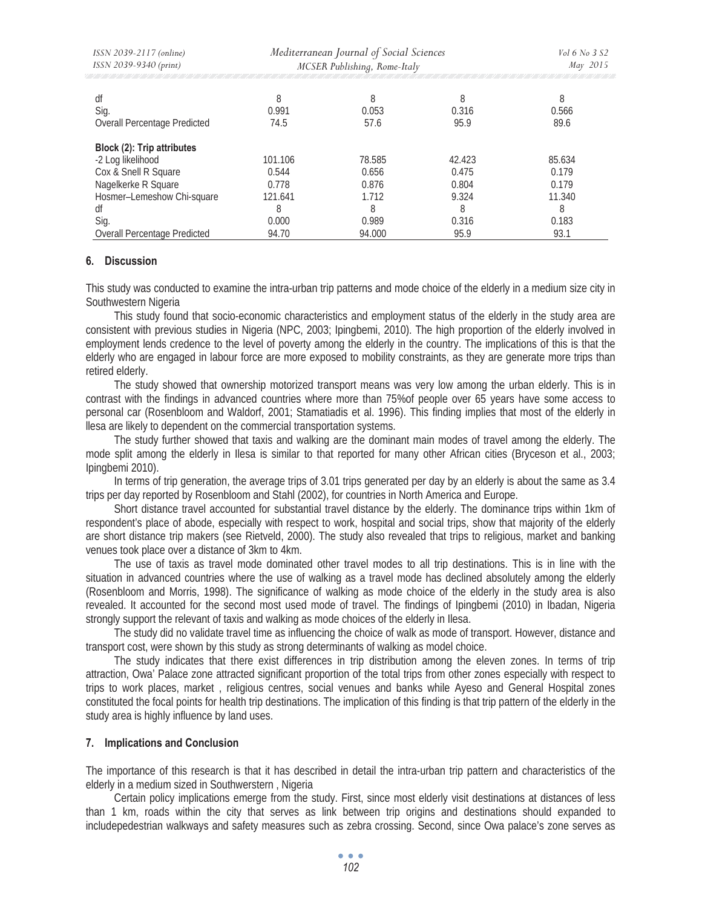| ISSN 2039-2117 (online)                                                 | Mediterranean Journal of Social Sciences | Vol 6 No 3 S2   |                 |                 |
|-------------------------------------------------------------------------|------------------------------------------|-----------------|-----------------|-----------------|
| ISSN 2039-9340 (print)                                                  | MCSER Publishing, Rome-Italy             | May 2015        |                 |                 |
| df                                                                      | 8                                        | 8               | 8               | 8               |
| Sig.                                                                    | 0.991                                    | 0.053           | 0.316           | 0.566           |
| Overall Percentage Predicted                                            | 74.5                                     | 57.6            | 95.9            | 89.6            |
| Block (2): Trip attributes<br>-2 Log likelihood<br>Cox & Snell R Square | 101.106<br>0.544                         | 78.585<br>0.656 | 42.423<br>0.475 | 85.634<br>0.179 |
| Nagelkerke R Square                                                     | 0.778                                    | 0.876           | 0.804           | 0.179           |
| Hosmer-Lemeshow Chi-square                                              | 121.641                                  | 1.712           | 9.324           | 11.340          |
| df                                                                      | 8                                        | 8               | 8               | 8               |
| Sig.                                                                    | 0.000                                    | 0.989           | 0.316           | 0.183           |
| Overall Percentage Predicted                                            | 94.70                                    | 94.000          | 95.9            | 93.1            |

### **6. Discussion**

This study was conducted to examine the intra-urban trip patterns and mode choice of the elderly in a medium size city in Southwestern Nigeria

This study found that socio-economic characteristics and employment status of the elderly in the study area are consistent with previous studies in Nigeria (NPC, 2003; Ipingbemi, 2010). The high proportion of the elderly involved in employment lends credence to the level of poverty among the elderly in the country. The implications of this is that the elderly who are engaged in labour force are more exposed to mobility constraints, as they are generate more trips than retired elderly.

The study showed that ownership motorized transport means was very low among the urban elderly. This is in contrast with the findings in advanced countries where more than 75%of people over 65 years have some access to personal car (Rosenbloom and Waldorf, 2001; Stamatiadis et al. 1996). This finding implies that most of the elderly in llesa are likely to dependent on the commercial transportation systems.

The study further showed that taxis and walking are the dominant main modes of travel among the elderly. The mode split among the elderly in Ilesa is similar to that reported for many other African cities (Bryceson et al., 2003; Ipingbemi 2010).

In terms of trip generation, the average trips of 3.01 trips generated per day by an elderly is about the same as 3.4 trips per day reported by Rosenbloom and Stahl (2002), for countries in North America and Europe.

Short distance travel accounted for substantial travel distance by the elderly. The dominance trips within 1km of respondent's place of abode, especially with respect to work, hospital and social trips, show that majority of the elderly are short distance trip makers (see Rietveld, 2000). The study also revealed that trips to religious, market and banking venues took place over a distance of 3km to 4km.

The use of taxis as travel mode dominated other travel modes to all trip destinations. This is in line with the situation in advanced countries where the use of walking as a travel mode has declined absolutely among the elderly (Rosenbloom and Morris, 1998). The significance of walking as mode choice of the elderly in the study area is also revealed. It accounted for the second most used mode of travel. The findings of Ipingbemi (2010) in Ibadan, Nigeria strongly support the relevant of taxis and walking as mode choices of the elderly in Ilesa.

The study did no validate travel time as influencing the choice of walk as mode of transport. However, distance and transport cost, were shown by this study as strong determinants of walking as model choice.

The study indicates that there exist differences in trip distribution among the eleven zones. In terms of trip attraction, Owa' Palace zone attracted significant proportion of the total trips from other zones especially with respect to trips to work places, market , religious centres, social venues and banks while Ayeso and General Hospital zones constituted the focal points for health trip destinations. The implication of this finding is that trip pattern of the elderly in the study area is highly influence by land uses.

### **7. Implications and Conclusion**

The importance of this research is that it has described in detail the intra-urban trip pattern and characteristics of the elderly in a medium sized in Southwerstern , Nigeria

Certain policy implications emerge from the study. First, since most elderly visit destinations at distances of less than 1 km, roads within the city that serves as link between trip origins and destinations should expanded to includepedestrian walkways and safety measures such as zebra crossing. Second, since Owa palace's zone serves as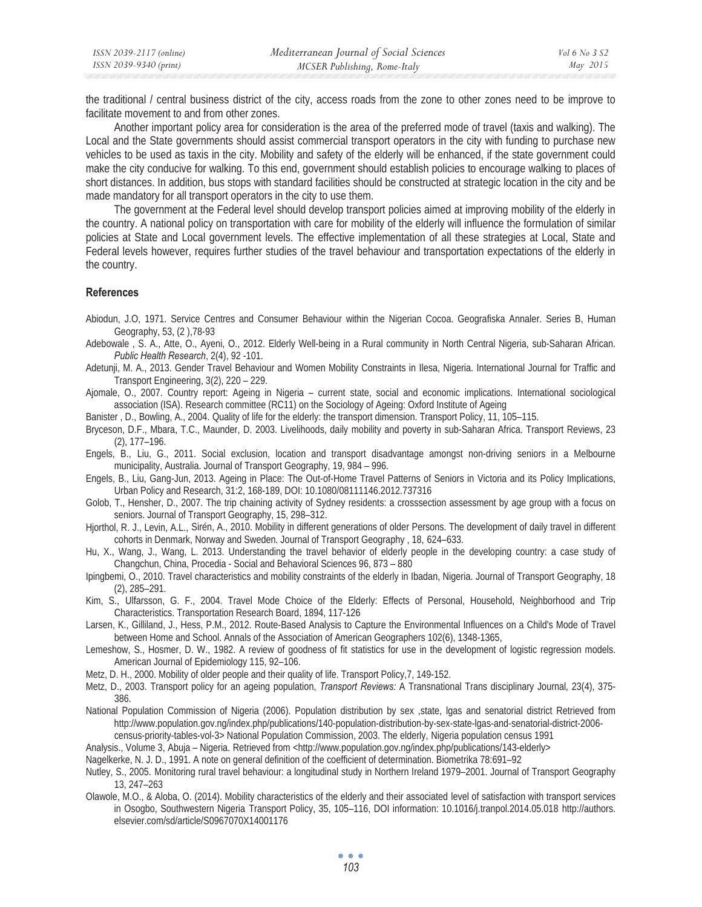the traditional / central business district of the city, access roads from the zone to other zones need to be improve to facilitate movement to and from other zones.

Another important policy area for consideration is the area of the preferred mode of travel (taxis and walking). The Local and the State governments should assist commercial transport operators in the city with funding to purchase new vehicles to be used as taxis in the city. Mobility and safety of the elderly will be enhanced, if the state government could make the city conducive for walking. To this end, government should establish policies to encourage walking to places of short distances. In addition, bus stops with standard facilities should be constructed at strategic location in the city and be made mandatory for all transport operators in the city to use them.

The government at the Federal level should develop transport policies aimed at improving mobility of the elderly in the country. A national policy on transportation with care for mobility of the elderly will influence the formulation of similar policies at State and Local government levels. The effective implementation of all these strategies at Local, State and Federal levels however, requires further studies of the travel behaviour and transportation expectations of the elderly in the country.

#### **References**

Abiodun, J.O, 1971. Service Centres and Consumer Behaviour within the Nigerian Cocoa. Geografiska Annaler. Series B, Human Geography, 53, (2 ),78-93

- Adebowale , S. A., Atte, O., Ayeni, O., 2012. Elderly Well-being in a Rural community in North Central Nigeria, sub-Saharan African. *Public Health Research*, 2(4), 92 -101.
- Adetunji, M. A., 2013. Gender Travel Behaviour and Women Mobility Constraints in Ilesa, Nigeria. International Journal for Traffic and Transport Engineering, 3(2), 220 – 229.

Ajomale, O., 2007. Country report: Ageing in Nigeria – current state, social and economic implications. International sociological association (ISA). Research committee (RC11) on the Sociology of Ageing: Oxford Institute of Ageing

Banister , D., Bowling, A., 2004. Quality of life for the elderly: the transport dimension. Transport Policy, 11, 105–115.

Bryceson, D.F., Mbara, T.C., Maunder, D. 2003. Livelihoods, daily mobility and poverty in sub-Saharan Africa. Transport Reviews, 23 (2), 177–196.

Engels, B., Liu, G., 2011. Social exclusion, location and transport disadvantage amongst non-driving seniors in a Melbourne municipality, Australia. Journal of Transport Geography, 19, 984 – 996.

Engels, B., Liu, Gang-Jun, 2013. Ageing in Place: The Out-of-Home Travel Patterns of Seniors in Victoria and its Policy Implications, Urban Policy and Research, 31:2, 168-189, DOI: 10.1080/08111146.2012.737316

- Golob, T., Hensher, D., 2007. The trip chaining activity of Sydney residents: a crosssection assessment by age group with a focus on seniors. Journal of Transport Geography, 15, 298–312.
- Hjorthol, R. J., Levin, A.L., Sirén, A., 2010. Mobility in different generations of older Persons. The development of daily travel in different cohorts in Denmark, Norway and Sweden. Journal of Transport Geography , 18, 624–633.

Hu, X., Wang, J., Wang, L. 2013. Understanding the travel behavior of elderly people in the developing country: a case study of Changchun, China, Procedia - Social and Behavioral Sciences 96, 873 – 880

Ipingbemi, O., 2010. Travel characteristics and mobility constraints of the elderly in Ibadan, Nigeria. Journal of Transport Geography, 18 (2), 285–291.

Kim, S., Ulfarsson, G. F., 2004. Travel Mode Choice of the Elderly: Effects of Personal, Household, Neighborhood and Trip Characteristics. Transportation Research Board, 1894, 117-126

Larsen, K., Gilliland, J., Hess, P.M., 2012. Route-Based Analysis to Capture the Environmental Influences on a Child's Mode of Travel between Home and School. Annals of the Association of American Geographers 102(6), 1348-1365,

- Lemeshow, S., Hosmer, D. W., 1982. A review of goodness of fit statistics for use in the development of logistic regression models. American Journal of Epidemiology 115, 92–106.
- Metz, D. H., 2000. Mobility of older people and their quality of life. Transport Policy,7, 149-152.
- Metz, D., 2003. Transport policy for an ageing population, *Transport Reviews:* A Transnational Trans disciplinary Journal*,* 23(4), 375- 386.
- National Population Commission of Nigeria (2006). Population distribution by sex ,state, Igas and senatorial district Retrieved from http://www.population.gov.ng/index.php/publications/140-population-distribution-by-sex-state-lgas-and-senatorial-district-2006 census-priority-tables-vol-3> National Population Commission, 2003. The elderly, Nigeria population census 1991

Analysis., Volume 3, Abuja – Nigeria. Retrieved from <http://www.population.gov.ng/index.php/publications/143-elderly>

Nagelkerke, N. J. D., 1991. A note on general definition of the coefficient of determination. Biometrika 78:691–92

- Nutley, S., 2005. Monitoring rural travel behaviour: a longitudinal study in Northern Ireland 1979–2001. Journal of Transport Geography 13, 247–263
- Olawole, M.O., & Aloba, O. (2014). Mobility characteristics of the elderly and their associated level of satisfaction with transport services in Osogbo, Southwestern Nigeria Transport Policy, 35, 105–116, DOI information: 10.1016/j.tranpol.2014.05.018 http://authors. elsevier.com/sd/article/S0967070X14001176